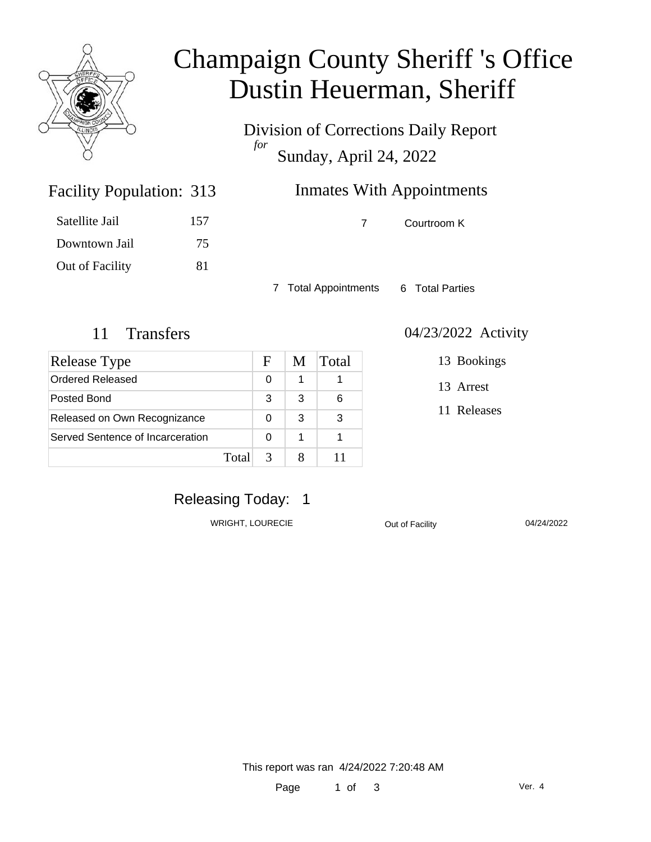

# Champaign County Sheriff 's Office Dustin Heuerman, Sheriff

Division of Corrections Daily Report *for* Sunday, April 24, 2022

# Inmates With Appointments

Satellite Jail 157 Downtown Jail 75

Facility Population: 313

Out of Facility 81

7 Courtroom K

7 Total Appointments 6 Total Parties

| Release Type                     |       | F | M | Total |
|----------------------------------|-------|---|---|-------|
| Ordered Released                 |       | 0 |   |       |
| Posted Bond                      |       | 3 | 3 | 6     |
| Released on Own Recognizance     |       |   | 3 | 3     |
| Served Sentence of Incarceration |       |   | 1 |       |
|                                  | Total |   |   |       |

#### 11 Transfers 04/23/2022 Activity

13 Bookings

13 Arrest

11 Releases

## Releasing Today: 1

WRIGHT, LOURECIE **Out of Facility** 04/24/2022

This report was ran 4/24/2022 7:20:48 AM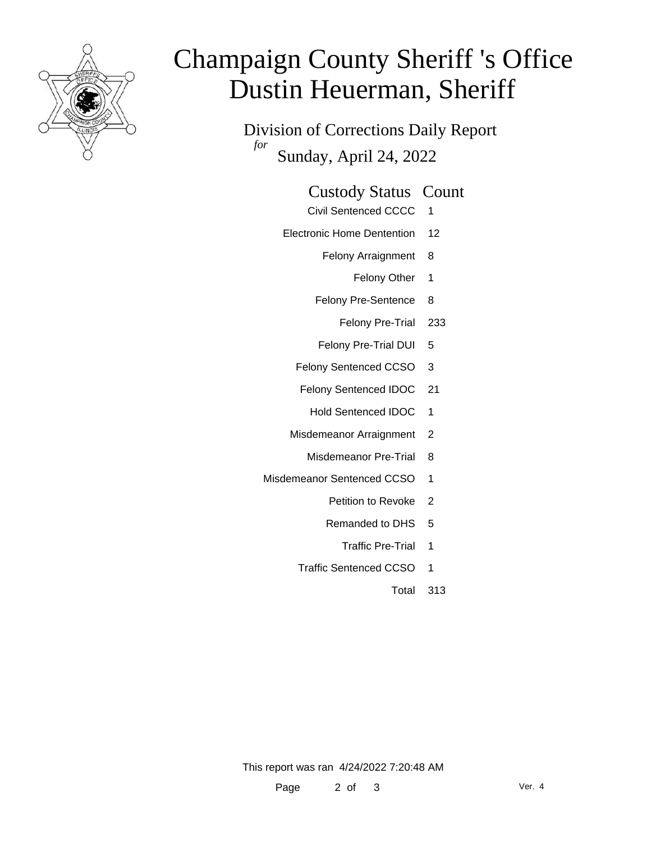

# Champaign County Sheriff 's Office Dustin Heuerman, Sheriff

Division of Corrections Daily Report *for* Sunday, April 24, 2022

#### Custody Status Count

- Civil Sentenced CCCC 1
- Electronic Home Dentention 12
	- Felony Arraignment 8
		- Felony Other 1
	- Felony Pre-Sentence 8
		- Felony Pre-Trial 233
	- Felony Pre-Trial DUI 5
	- Felony Sentenced CCSO 3
	- Felony Sentenced IDOC 21
		- Hold Sentenced IDOC 1
	- Misdemeanor Arraignment 2
		- Misdemeanor Pre-Trial 8
- Misdemeanor Sentenced CCSO 1
	- Petition to Revoke 2
	- Remanded to DHS 5
		- Traffic Pre-Trial 1
	- Traffic Sentenced CCSO 1
		- Total 313